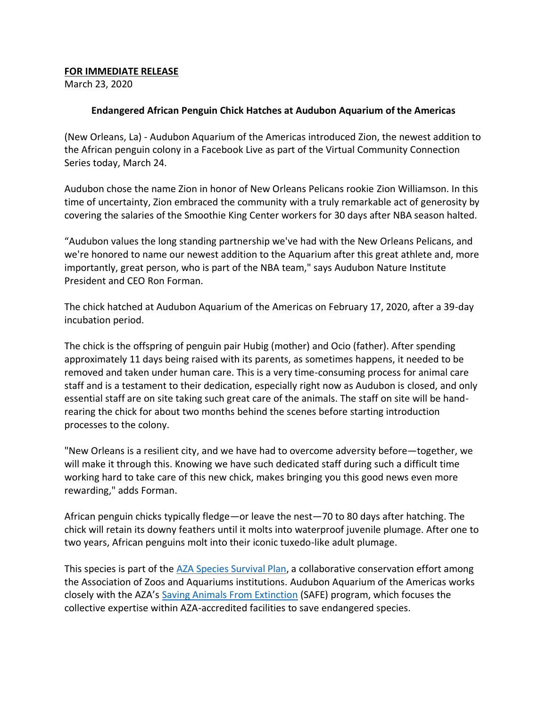## **FOR IMMEDIATE RELEASE**

March 23, 2020

## **Endangered African Penguin Chick Hatches at Audubon Aquarium of the Americas**

(New Orleans, La) - Audubon Aquarium of the Americas introduced Zion, the newest addition to the African penguin colony in a Facebook Live as part of the Virtual Community Connection Series today, March 24.

Audubon chose the name Zion in honor of New Orleans Pelicans rookie Zion Williamson. In this time of uncertainty, Zion embraced the community with a truly remarkable act of generosity by covering the salaries of the Smoothie King Center workers for 30 days after NBA season halted.

"Audubon values the long standing partnership we've had with the New Orleans Pelicans, and we're honored to name our newest addition to the Aquarium after this great athlete and, more importantly, great person, who is part of the NBA team," says Audubon Nature Institute President and CEO Ron Forman.

The chick hatched at Audubon Aquarium of the Americas on February 17, 2020, after a 39-day incubation period.

The chick is the offspring of penguin pair Hubig (mother) and Ocio (father). After spending approximately 11 days being raised with its parents, as sometimes happens, it needed to be removed and taken under human care. This is a very time-consuming process for animal care staff and is a testament to their dedication, especially right now as Audubon is closed, and only essential staff are on site taking such great care of the animals. The staff on site will be handrearing the chick for about two months behind the scenes before starting introduction processes to the colony.

"New Orleans is a resilient city, and we have had to overcome adversity before—together, we will make it through this. Knowing we have such dedicated staff during such a difficult time working hard to take care of this new chick, makes bringing you this good news even more rewarding," adds Forman.

African penguin chicks typically fledge—or leave the nest—70 to 80 days after hatching. The chick will retain its downy feathers until it molts into waterproof juvenile plumage. After one to two years, African penguins molt into their iconic tuxedo-like adult plumage.

This species is part of the [AZA Species Survival Plan,](https://www.aza.org/species-survival-plan-programs) a collaborative conservation effort among the Association of Zoos and Aquariums institutions. Audubon Aquarium of the Americas works closely with the AZA's [Saving Animals From Extinction](https://www.aza.org/safe-species) (SAFE) program, which focuses the collective expertise within AZA-accredited facilities to save endangered species.